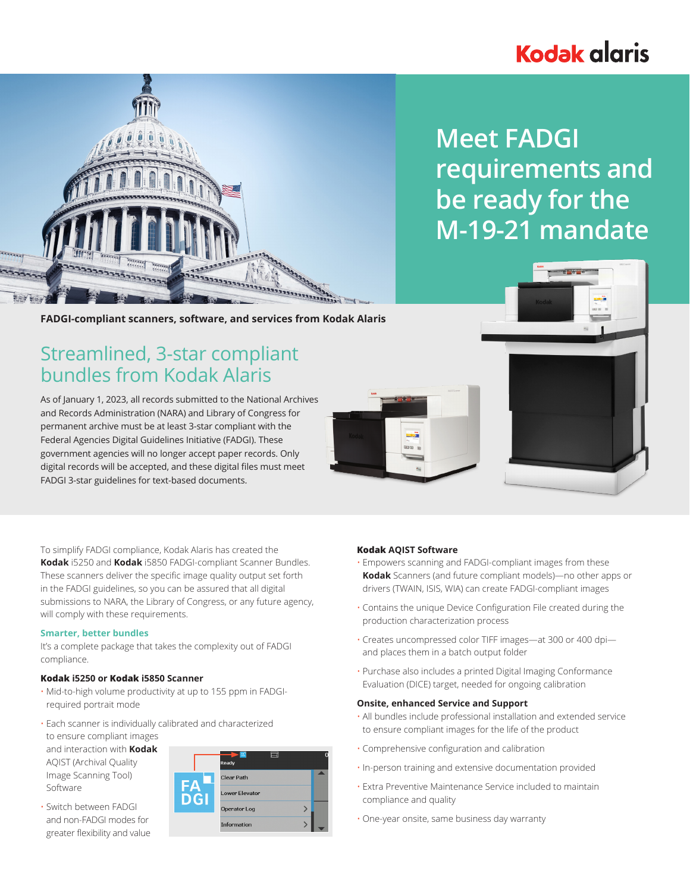# **Kodak glaris**



# **Meet FADGI requirements and be ready for the M-19-21 mandate**

**FADGI-compliant scanners, software, and services from Kodak Alaris**

# Streamlined, 3-star compliant bundles from Kodak Alaris

As of January 1, 2023, all records submitted to the National Archives and Records Administration (NARA) and Library of Congress for permanent archive must be at least 3-star compliant with the Federal Agencies Digital Guidelines Initiative (FADGI). These government agencies will no longer accept paper records. Only digital records will be accepted, and these digital files must meet FADGI 3-star guidelines for text-based documents.





To simplify FADGI compliance, Kodak Alaris has created the **Kodak** i5250 and **Kodak** i5850 FADGI-compliant Scanner Bundles. These scanners deliver the specific image quality output set forth in the FADGI guidelines, so you can be assured that all digital submissions to NARA, the Library of Congress, or any future agency, will comply with these requirements.

## **Smarter, better bundles**

It's a complete package that takes the complexity out of FADGI compliance.

## **Kodak i5250 or Kodak i5850 Scanner**

- Mid-to-high volume productivity at up to 155 ppm in FADGIrequired portrait mode
- Each scanner is individually calibrated and characterized to ensure compliant images and interaction with **Kodak** AQIST (Archival Quality Image Scanning Tool) Software
- Switch between FADGI and non-FADGI modes for greater flexibility and value

|                  | Ready          |  |
|------------------|----------------|--|
| FΑ<br><b>DGI</b> | Clear Path     |  |
|                  | Lower Elevator |  |
|                  | Operator Log   |  |
|                  | Information    |  |

# **Kodak AQIST Software**

- Empowers scanning and FADGI-compliant images from these **Kodak** Scanners (and future compliant models)—no other apps or drivers (TWAIN, ISIS, WIA) can create FADGI-compliant images
- Contains the unique Device Configuration File created during the production characterization process
- Creates uncompressed color TIFF images—at 300 or 400 dpi and places them in a batch output folder
- Purchase also includes a printed Digital Imaging Conformance Evaluation (DICE) target, needed for ongoing calibration

## **Onsite, enhanced Service and Support**

- All bundles include professional installation and extended service to ensure compliant images for the life of the product
- Comprehensive configuration and calibration
- In-person training and extensive documentation provided
- Extra Preventive Maintenance Service included to maintain compliance and quality
- One-year onsite, same business day warranty